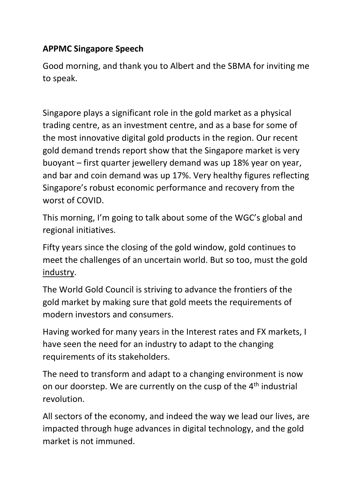## **APPMC Singapore Speech**

Good morning, and thank you to Albert and the SBMA for inviting me to speak.

Singapore plays a significant role in the gold market as a physical trading centre, as an investment centre, and as a base for some of the most innovative digital gold products in the region. Our recent gold demand trends report show that the Singapore market is very buoyant – first quarter jewellery demand was up 18% year on year, and bar and coin demand was up 17%. Very healthy figures reflecting Singapore's robust economic performance and recovery from the worst of COVID.

This morning, I'm going to talk about some of the WGC's global and regional initiatives.

Fifty years since the closing of the gold window, gold continues to meet the challenges of an uncertain world. But so too, must the gold industry.

The World Gold Council is striving to advance the frontiers of the gold market by making sure that gold meets the requirements of modern investors and consumers.

Having worked for many years in the Interest rates and FX markets, I have seen the need for an industry to adapt to the changing requirements of its stakeholders.

The need to transform and adapt to a changing environment is now on our doorstep. We are currently on the cusp of the 4th industrial revolution.

All sectors of the economy, and indeed the way we lead our lives, are impacted through huge advances in digital technology, and the gold market is not immuned.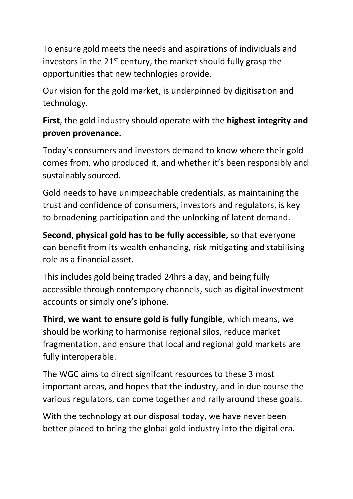To ensure gold meets the needs and aspirations of individuals and investors in the 21<sup>st</sup> century, the market should fully grasp the opportunities that new technlogies provide.

Our vision for the gold market, is underpinned by digitisation and technology.

**First**, the gold industry should operate with the **highest integrity and proven provenance.**

Today's consumers and investors demand to know where their gold comes from, who produced it, and whether it's been responsibly and sustainably sourced.

Gold needs to have unimpeachable credentials, as maintaining the trust and confidence of consumers, investors and regulators, is key to broadening participation and the unlocking of latent demand.

**Second, physical gold has to be fully accessible,** so that everyone can benefit from its wealth enhancing, risk mitigating and stabilising role as a financial asset.

This includes gold being traded 24hrs a day, and being fully accessible through contempory channels, such as digital investment accounts or simply one's iphone.

**Third, we want to ensure gold is fully fungible**, which means, we should be working to harmonise regional silos, reduce market fragmentation, and ensure that local and regional gold markets are fully interoperable.

The WGC aims to direct signifcant resources to these 3 most important areas, and hopes that the industry, and in due course the various regulators, can come together and rally around these goals.

With the technology at our disposal today, we have never been better placed to bring the global gold industry into the digital era.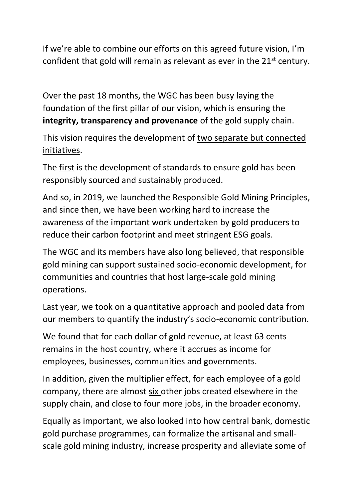If we're able to combine our efforts on this agreed future vision, I'm confident that gold will remain as relevant as ever in the 21<sup>st</sup> century.

Over the past 18 months, the WGC has been busy laying the foundation of the first pillar of our vision, which is ensuring the **integrity, transparency and provenance** of the gold supply chain.

This vision requires the development of two separate but connected initiatives.

The first is the development of standards to ensure gold has been responsibly sourced and sustainably produced.

And so, in 2019, we launched the Responsible Gold Mining Principles, and since then, we have been working hard to increase the awareness of the important work undertaken by gold producers to reduce their carbon footprint and meet stringent ESG goals.

The WGC and its members have also long believed, that responsible gold mining can support sustained socio-economic development, for communities and countries that host large-scale gold mining operations.

Last year, we took on a quantitative approach and pooled data from our members to quantify the industry's socio-economic contribution.

We found that for each dollar of gold revenue, at least 63 cents remains in the host country, where it accrues as income for employees, businesses, communities and governments.

In addition, given the multiplier effect, for each employee of a gold company, there are almost six other jobs created elsewhere in the supply chain, and close to four more jobs, in the broader economy.

Equally as important, we also looked into how central bank, domestic gold purchase programmes, can formalize the artisanal and smallscale gold mining industry, increase prosperity and alleviate some of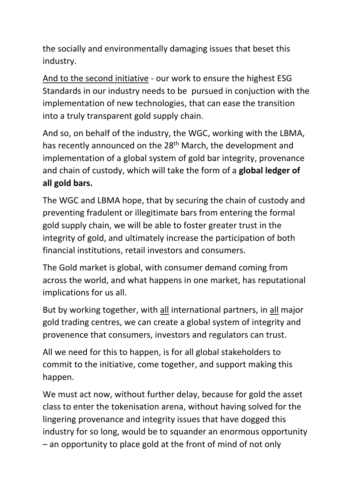the socially and environmentally damaging issues that beset this industry.

And to the second initiative - our work to ensure the highest ESG Standards in our industry needs to be pursued in conjuction with the implementation of new technologies, that can ease the transition into a truly transparent gold supply chain.

And so, on behalf of the industry, the WGC, working with the LBMA, has recently announced on the 28<sup>th</sup> March, the development and implementation of a global system of gold bar integrity, provenance and chain of custody, which will take the form of a **global ledger of all gold bars.** 

The WGC and LBMA hope, that by securing the chain of custody and preventing fradulent or illegitimate bars from entering the formal gold supply chain, we will be able to foster greater trust in the integrity of gold, and ultimately increase the participation of both financial institutions, retail investors and consumers.

The Gold market is global, with consumer demand coming from across the world, and what happens in one market, has reputational implications for us all.

But by working together, with all international partners, in all major gold trading centres, we can create a global system of integrity and provenence that consumers, investors and regulators can trust.

All we need for this to happen, is for all global stakeholders to commit to the initiative, come together, and support making this happen.

We must act now, without further delay, because for gold the asset class to enter the tokenisation arena, without having solved for the lingering provenance and integrity issues that have dogged this industry for so long, would be to squander an enormous opportunity – an opportunity to place gold at the front of mind of not only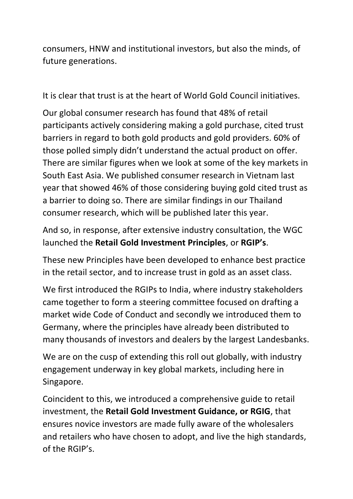consumers, HNW and institutional investors, but also the minds, of future generations.

It is clear that trust is at the heart of World Gold Council initiatives.

Our global consumer research has found that 48% of retail participants actively considering making a gold purchase, cited trust barriers in regard to both gold products and gold providers. 60% of those polled simply didn't understand the actual product on offer. There are similar figures when we look at some of the key markets in South East Asia. We published consumer research in Vietnam last year that showed 46% of those considering buying gold cited trust as a barrier to doing so. There are similar findings in our Thailand consumer research, which will be published later this year.

And so, in response, after extensive industry consultation, the WGC launched the **Retail Gold Investment Principles**, or **RGIP's**.

These new Principles have been developed to enhance best practice in the retail sector, and to increase trust in gold as an asset class.

We first introduced the RGIPs to India, where industry stakeholders came together to form a steering committee focused on drafting a market wide Code of Conduct and secondly we introduced them to Germany, where the principles have already been distributed to many thousands of investors and dealers by the largest Landesbanks.

We are on the cusp of extending this roll out globally, with industry engagement underway in key global markets, including here in Singapore.

Coincident to this, we introduced a comprehensive guide to retail investment, the **Retail Gold Investment Guidance, or RGIG**, that ensures novice investors are made fully aware of the wholesalers and retailers who have chosen to adopt, and live the high standards, of the RGIP's.